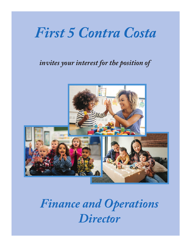# *First 5 Contra Costa*

### *invites your interest for the position of*



## *Finance and Operations Director*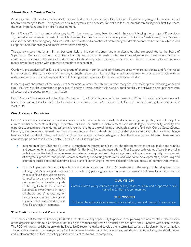#### **About First 5 Contra Costa**

As a respected state leader in advocacy for young children and their families, First 5 Contra Costa helps young children start school healthy and ready to learn. The agency invests in programs and advocates for policies focused on children during their first five years, the most important time in children's development.

First 5 Contra Costa is currently celebrating its 22nd anniversary, having been formed in the years following the passage of Proposition 10, the California initiative that established Children and Families Commissions in every county. In Contra Costa County, First 5 stands as an independent public agency. As such, First 5 has maintained a practice of nimble program development that has continually evolved as opportunities for change and improvement have emerged.

The agency is governed by an 18-member commission, nine commissioners and nine alternates who are appointed by the Board of Supervisors. Our Commission is comprised of county and community leaders who are knowledgeable and passionate about early childhood education and the work of First 5 Contra Costa. As important thought partners for our work, the Board of Commissioners meets seven times a year, with committee meetings as scheduled.

Our highly productive staff of 33 is a diverse group of experts in content and administrative areas who are passionate and fully engaged in the success of the agency. One of the many strengths of our team is the ability to collaborate seamlessly across initiatives with an understanding of our shared responsibility to fully support and advocate for families with young children.

In keeping with the nature of the work, First 5 maintains a family-friendly culture that recognizes the challenges of balancing work and family life. First 5 is also committed to principles of equity, diversity and inclusion, and cultural humility, and strives to enlist partners from all sectors of the county to join in its mission.

First 5 Contra Costa receives funding from Proposition 10, a California ballot initiative passed in 1998 which added a 50 cent-per-pack tax on tobacco products. First 5 Contra Costa has invested more than \$140 million to help Contra Costa's children get the best possible start in life.

#### **Our Strategic Priorities**

First 5 Contra Costa continues to thrive in an era in which the importance of early childhood is recognized publicly and politically. The current landscape presents a strategic imperative for First 5 to sustain its achievements and use its legacy of credibility, visibility, and expertise to create positive, enduring systems change that promote the well-being of young children and families in Contra Costa County. Leveraging on the lessons learned over the past two decades, First 5 developed a comprehensive framework, called "systems change lens" aimed at blending funding, partnership and policy solutions that have lasting impacts in the lives of young children. There are two core strategic priorities in First 5 Contra Costa's 2020-23 strategic plan:

- ♦ Integration of Early Childhood Systems strengthen the integration of early childhood systems that foster equitable opportunities and outcomes for all young children and their families by: a) increasing integration of First 5 supported systems of care; b) providing technical expertise to influence cross-sector systems development and integration; c) supporting continuous quality improvement of programs, practices, and policies across sectors; d) supporting professional and workforce development; e) addressing and promoting racial, social and economic justice; and f) continuing to improve collection and use of data to demonstrate impact.
- First 5's Impact and Sustainability build on, sustain, and/or grow First 5's investments in the early childhood system by: a) refining First 5's developed models and approaches; b) pursuing diversified revenue streams; c) continuing to demonstrate the

impact of First 5 through research, data collection, and analysis of child outcomes for policy advocacy; d) continuing to build the case for sustainable investments in early childhood; and e) advocating for local, state, and federal funding and legislation that sustain and expand First 5's strategic investments.

#### **The Position and Ideal Candidate**

#### **OUR VISION**

Contra Costa's young children will be healthy, ready to learn, and supported in safe, nurturing families and communities.

#### **OUR MISSION**

To foster the optimal development of our children, prenatal through 5 years of age.

The Finance and Operations Director (FOD) role presents an exciting opportunity to partake in the planning and incremental implementation of the organization's tactical plan aimed at optimizing and modernizing First 5's financial, administrative and IT systems within fiscal means. The FOD will work in collaboration with the Executive Director to lead and develop a long-term fiscal sustainability plan for the organization. This role also oversees the management of all First 5 finance related activities, operations, and departments, including the development and implementation of fiscal reporting policies and practices to ensure compliance.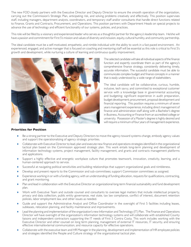The new FOD closely partners with the Executive Director and Deputy Director to ensure the smooth operation of the organization, carrying out the Commission's Strategic Plan, anticipating risk, and solving problems creatively and effectively. This position supervises staff, including managers, department analysts, coordinators, and temporary staff and/or consultants that handle direct functions related to Finance, Grants and Contracts, Procurement, and Operations. This position partners with Department Heads on special projects to advance the use of technology and efficient functionality of our systems, policies, and practices.

This role will be filled by a visionary and experienced leader who serves as a thoughtful partner for the agency's leadership team. He/she will have a passion and commitment for First 5's mission and values of diversity and inclusion, equity, cultural humility, and community partnership.

The ideal candidate must be a self-motivated, empathetic, and nimble individual with the ability to work in a fast-paced environment. An experienced, engaged, and active manager that is focused on coaching and mentoring staff will be essential as this role is critical to First 5's growth and development, while nurturing a culture of learning and continuous quality improvement.



The selected candidate will take all individual aspects of the finance function and expertly coordinate them as part of the agency's comprehensive finance strategy, consistently delivering timely, accurate information. The successful candidate must be able to communicate complex budget and finance concepts in a manner that is easily understood by a wide range of stakeholders.

The ideal candidate will be collaborative, curious, humble, inclusive, tech savvy, and committed to exceptional customer service with a knowledge base in governmental accounting and budgeting; significant experience in audit preparation, budget development; procurement, proposal development and financial reporting. This position requires a minimum of seven years management experience, including direct management of finance and administration staff along with a Bachelor's degree in Business, Accounting or Finance from an accredited college or university. Possession of a Master's degree is highly desired and will require a minimum of four years of management experience.

#### **Priorities for Position**

- Be a strong partner to the Executive and Deputy Directors to move the agency toward systems-change, embody agency values and support the operationalizing of agency strategic priorities.
- Collaborate with Executive Director to lead, plan and execute new finance and operations strategies identified in the organizational tactical plan based on the Commission approved strategic plan. This work entails long-term planning and development of information technology systems, project management, facility management, and grants and contracts management platforms and applications.
- Support a highly effective and energetic workplace culture that promotes teamwork, innovation, creativity, learning, and a human-centered approach to service.
- Successful at navigating political sensitivities and building relationships that support organizational goals and nimbleness.
- Develop and present reports to the Commission and sub-committees; support Commission committees as assigned.
- Experience working in or with a funding agency, with an understanding of funding allocation, requests for qualifications, contracting, and grant monitoring.
- Plan and lead in collaboration with the Executive Director an organizational long-term financial sustainability and fund development plan.
- Work with Executive Team and outside counsel and consultants to oversee legal matters that include intellectual property, privacy and data collection, public entity governance, real state, tax law compliance, conflict of interest, document retention policies, labor employment law, and other issues as needed.
- Guide and support the Administrative Analyst and Office Coordinator in the oversight of First 5 facilities including leases, subleases, relocation planning, and facility maintenance and improvements.
- Lead the planning and implementation of the organization's new Information and Technology (IT) Plan. The Finance and Operations Director will have oversight of the organization's information technology systems and will collaborate with established County liaisons and independent contractors supporting the IT needs of First 5 Contra Costa. This work includes working with the Executive Director and other counsel on long term planning, management of external IT resources, IT security, and ensuring effective internal/external communication, and resource capacity for effective operations.
- Collaborate with the executive team and HR Manager in the planning, development and implementation of HR employee policies and strategies identified the People and Culture strategy of the organizational tactical plan.